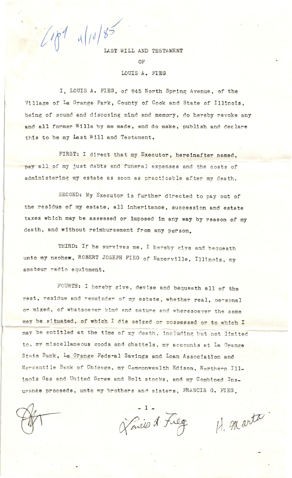$1004$  4/10/85 LAST WILL AND TESTAMENT  $\Omega$ <sub>F</sub> LOUIS A. FIEG

I. LOUIS A. FIEG, of 845 North Spring Avenue, of the Village of La Grange Park, County of Cook and State of Illinois, being of sound and disposing mind and memory, do hereby revoke any and all former Wills by me made, and do make, publish and declare this to be my Last Will and Testament.

FIRST: I direct that my Executor, hereinafter named, pay all of my just debts and funeral expenses and the costs of administering my estate as soon as practicable after my death.

SECOND: My Executor is further directed to pay out of the residue of my estate, all inheritance, succession and estate taxes which may be assessed or imposed in any way by reason of my death, and without reimbursement from any person.

THIRD: If he survives me, I hereby give and bequeath unto my nephew, ROBERT JOSEPH FIEG of Naperville, Illinois, my amateur radio equipment.

FOURTH: I hereby give, devise and bequeath all of the rest, residue and remainder of my estate, whether real, personal or mixed, of whatsoever kind and nature and wheresoever the same may be situated, of which I die seized or possessed or to which I may be entitled at the time of my death, including but not limited to. my miscellaneous goods and chattels, my accounts at La Grange State Bank, La Grange Federal Savings and Loan Association and Mercantile Bank of Chicago, my Commonwealth Edison, Northern Illinois Gas and United Screw and Bolt stocks, and my Combined Insurance proceeds, unto my brothers and sisters, FRANCIS G. FIEG.

Lavie A. Freg

H. marto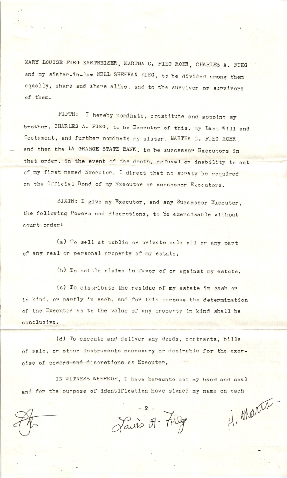MARY LOUISE FIEG KARTHEISER, MARTHA C. FIEG MOHR, CHARLES A. FIEG and my sister-in-law NELL SHEEHAN FIEG, to be divided among them equally, share and share alike, and to the survivor or survivors of them.

FIFTH: I hereby nominate, constitute and appoint my brother, CHARLES A. FIEG, to be Executor of this, my Last Will and Testament, and further nominate my sister, MARTHA C. FIEG MOHR, and then the LA GRANGE STATE BANK, to be successor Executors in that order, in the event of the death, refusal or inability to act of my first named Executor. I direct that no surety be required on the Official Bond of my Executor or successor Executors.

SIXTH: I give my Executor, and any Successor Executor, the following Powers and discretions, to be exercisable without court order:

(a) To sell at public or private sale all or any part of any real or personal property of my estate.

(b) To settle claims in favor of or against my estate.

(c) To distribute the residue of my estate in cash or in kind, or partly in each, and for this purpose the determination of the Executor as to the value of any property in kind shall be conclusive.

(d) To execute and deliver any deeds, contracts, bills of sale, or other instruments necessary or desirable for the exercise of powers and discretions as Executor.

IN WITNESS WHEREOF, I have hereunto set my hand and seal and for the purpose of identification have signed my name on each H. Marta

Lauris 51- Frag